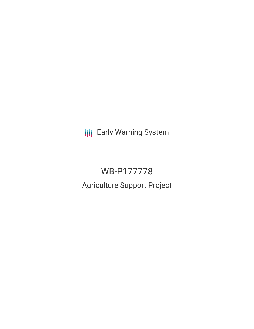**III** Early Warning System

# WB-P177778

Agriculture Support Project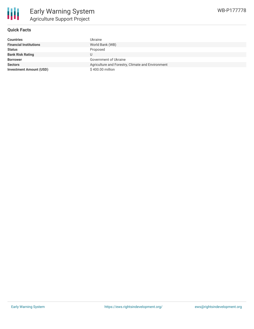

### **Quick Facts**

| <b>Countries</b>               | Ukraine                                           |
|--------------------------------|---------------------------------------------------|
| <b>Financial Institutions</b>  | World Bank (WB)                                   |
| <b>Status</b>                  | Proposed                                          |
| <b>Bank Risk Rating</b>        | U                                                 |
| <b>Borrower</b>                | Government of Ukraine                             |
| <b>Sectors</b>                 | Agriculture and Forestry, Climate and Environment |
| <b>Investment Amount (USD)</b> | $$400.00$ million                                 |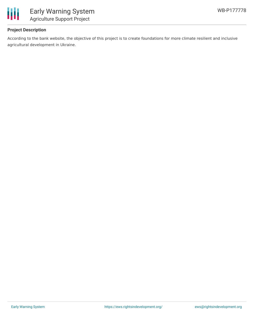

## **Project Description**

According to the bank website, the objective of this project is to create foundations for more climate resilient and inclusive agricultural development in Ukraine.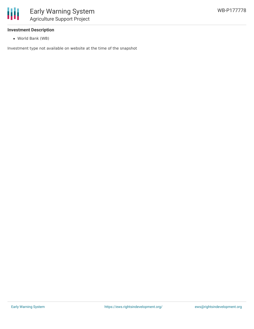

#### **Investment Description**

World Bank (WB)

Investment type not available on website at the time of the snapshot